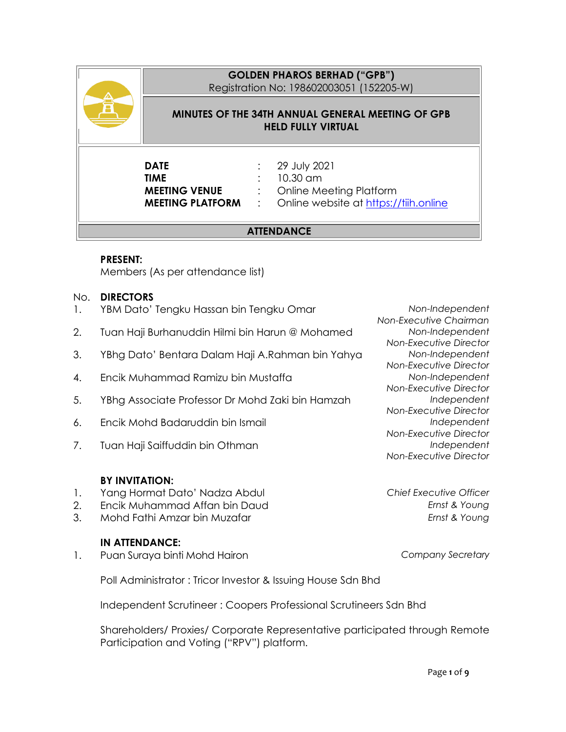### **GOLDEN PHAROS BERHAD ("GPB")**

Registration No: 198602003051 (152205-W)

#### **MINUTES OF THE 34TH ANNUAL GENERAL MEETING OF GPB HELD FULLY VIRTUAL**

# **DATE** : 29 July 2021 **TIME** : 10.30 am

**MEETING VENUE** : Online Meeting Platform **MEETING PLATFORM** : Online website at [https://tiih.online](https://tiih.online/)

### **ATTENDANCE**

#### **PRESENT:**

Members (As per attendance list)

#### No. **DIRECTORS**

- 1. YBM Dato' Tengku Hassan bin Tengku Omar *Non-Independent*
- 2. Tuan Haji Burhanuddin Hilmi bin Harun @ Mohamed *Non-Independent*
- 3. YBhg Dato' Bentara Dalam Haji A.Rahman bin Yahya *Non-Independent*
- 4. Encik Muhammad Ramizu bin Mustaffa *Non-Independent*
- 5. YBhg Associate Professor Dr Mohd Zaki bin Hamzah *Independent*
- 6. Encik Mohd Badaruddin bin Ismail *Independent*
- 7. Tuan Haji Saiffuddin bin Othman *Independent*

#### **BY INVITATION:**

- 1. Yang Hormat Dato' Nadza Abdul *Chief Executive Officer*
- 2. Encik Muhammad Affan bin Daud *Ernst & Young*
- 3. Mohd Fathi Amzar bin Muzafar *Ernst & Young*

#### **IN ATTENDANCE:**

1. Puan Suraya binti Mohd Hairon *Company Secretary*

Poll Administrator : Tricor Investor & Issuing House Sdn Bhd

Independent Scrutineer : Coopers Professional Scrutineers Sdn Bhd

Shareholders/ Proxies/ Corporate Representative participated through Remote Participation and Voting ("RPV") platform.

*Non-Executive Chairman Non-Executive Director Non-Executive Director Non-Executive Director Non-Executive Director Non-Executive Director Non-Executive Director*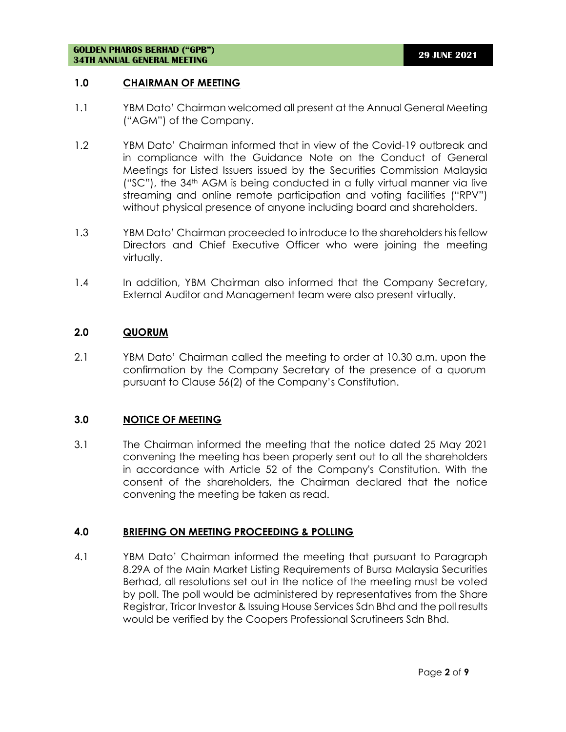#### **1.0 CHAIRMAN OF MEETING**

- 1.1 YBM Dato' Chairman welcomed all present at the Annual General Meeting ("AGM") of the Company.
- 1.2 YBM Dato' Chairman informed that in view of the Covid-19 outbreak and in compliance with the Guidance Note on the Conduct of General Meetings for Listed Issuers issued by the Securities Commission Malaysia ("SC"), the 34th AGM is being conducted in a fully virtual manner via live streaming and online remote participation and voting facilities ("RPV") without physical presence of anyone including board and shareholders.
- 1.3 YBM Dato' Chairman proceeded to introduce to the shareholders his fellow Directors and Chief Executive Officer who were joining the meeting virtually.
- 1.4 In addition, YBM Chairman also informed that the Company Secretary, External Auditor and Management team were also present virtually.

#### **2.0 QUORUM**

2.1 YBM Dato' Chairman called the meeting to order at 10.30 a.m. upon the confirmation by the Company Secretary of the presence of a quorum pursuant to Clause 56(2) of the Company's Constitution.

#### **3.0 NOTICE OF MEETING**

3.1 The Chairman informed the meeting that the notice dated 25 May 2021 convening the meeting has been properly sent out to all the shareholders in accordance with Article 52 of the Company's Constitution. With the consent of the shareholders, the Chairman declared that the notice convening the meeting be taken as read.

#### **4.0 BRIEFING ON MEETING PROCEEDING & POLLING**

4.1 YBM Dato' Chairman informed the meeting that pursuant to Paragraph 8.29A of the Main Market Listing Requirements of Bursa Malaysia Securities Berhad, all resolutions set out in the notice of the meeting must be voted by poll. The poll would be administered by representatives from the Share Registrar, Tricor Investor & Issuing House Services Sdn Bhd and the poll results would be verified by the Coopers Professional Scrutineers Sdn Bhd.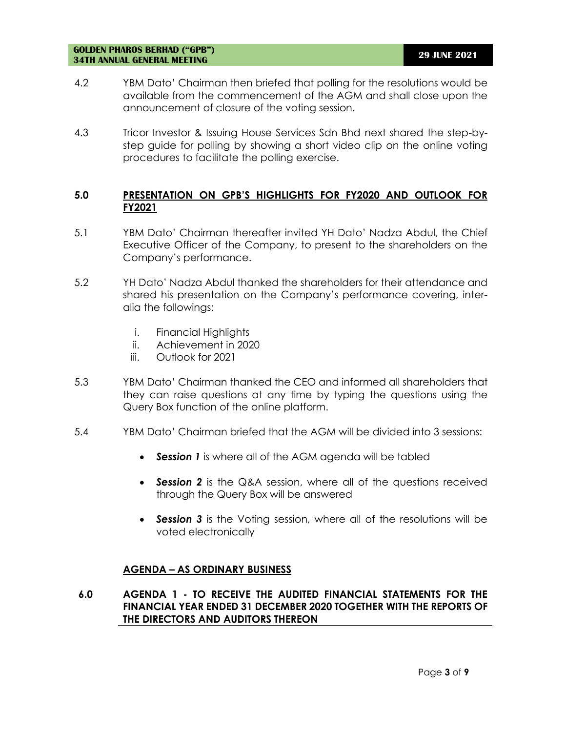- 4.2 YBM Dato' Chairman then briefed that polling for the resolutions would be available from the commencement of the AGM and shall close upon the announcement of closure of the voting session.
- 4.3 Tricor Investor & Issuing House Services Sdn Bhd next shared the step-bystep guide for polling by showing a short video clip on the online voting procedures to facilitate the polling exercise.

#### **5.0 PRESENTATION ON GPB'S HIGHLIGHTS FOR FY2020 AND OUTLOOK FOR FY2021**

- 5.1 YBM Dato' Chairman thereafter invited YH Dato' Nadza Abdul, the Chief Executive Officer of the Company, to present to the shareholders on the Company's performance.
- 5.2 YH Dato' Nadza Abdul thanked the shareholders for their attendance and shared his presentation on the Company's performance covering, interalia the followings:
	- i. Financial Highlights
	- ii. Achievement in 2020
	- iii. Outlook for 2021
- 5.3 YBM Dato' Chairman thanked the CEO and informed all shareholders that they can raise questions at any time by typing the questions using the Query Box function of the online platform.
- 5.4 YBM Dato' Chairman briefed that the AGM will be divided into 3 sessions:
	- *Session 1* is where all of the AGM agenda will be tabled
	- *Session 2* is the Q&A session, where all of the questions received through the Query Box will be answered
	- *Session 3* is the Voting session, where all of the resolutions will be voted electronically

#### **AGENDA – AS ORDINARY BUSINESS**

**6.0 AGENDA 1 - TO RECEIVE THE AUDITED FINANCIAL STATEMENTS FOR THE FINANCIAL YEAR ENDED 31 DECEMBER 2020 TOGETHER WITH THE REPORTS OF THE DIRECTORS AND AUDITORS THEREON**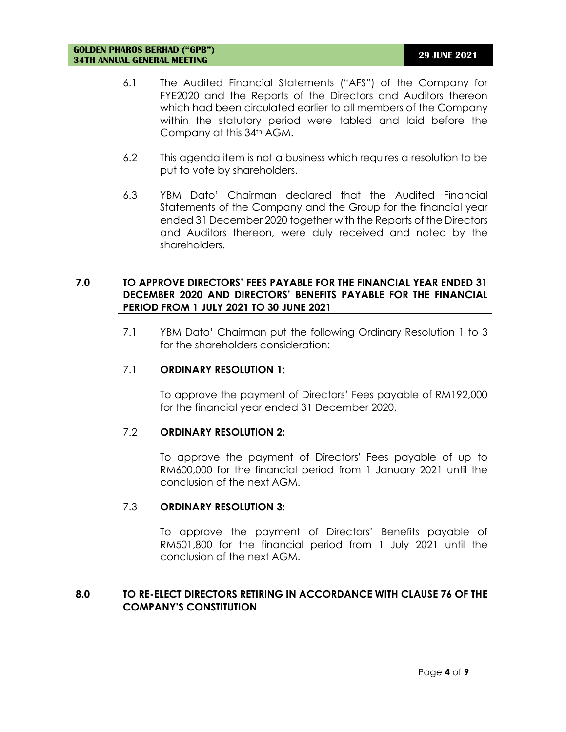- 6.1 The Audited Financial Statements ("AFS") of the Company for FYE2020 and the Reports of the Directors and Auditors thereon which had been circulated earlier to all members of the Company within the statutory period were tabled and laid before the Company at this 34<sup>th</sup> AGM.
- 6.2 This agenda item is not a business which requires a resolution to be put to vote by shareholders.
- 6.3 YBM Dato' Chairman declared that the Audited Financial Statements of the Company and the Group for the financial year ended 31 December 2020 together with the Reports of the Directors and Auditors thereon, were duly received and noted by the shareholders.

#### **7.0 TO APPROVE DIRECTORS' FEES PAYABLE FOR THE FINANCIAL YEAR ENDED 31 DECEMBER 2020 AND DIRECTORS' BENEFITS PAYABLE FOR THE FINANCIAL PERIOD FROM 1 JULY 2021 TO 30 JUNE 2021**

7.1 YBM Dato' Chairman put the following Ordinary Resolution 1 to 3 for the shareholders consideration:

#### 7.1 **ORDINARY RESOLUTION 1:**

To approve the payment of Directors' Fees payable of RM192,000 for the financial year ended 31 December 2020.

#### 7.2 **ORDINARY RESOLUTION 2:**

To approve the payment of Directors' Fees payable of up to RM600,000 for the financial period from 1 January 2021 until the conclusion of the next AGM.

#### 7.3 **ORDINARY RESOLUTION 3:**

To approve the payment of Directors' Benefits payable of RM501,800 for the financial period from 1 July 2021 until the conclusion of the next AGM.

#### **8.0 TO RE-ELECT DIRECTORS RETIRING IN ACCORDANCE WITH CLAUSE 76 OF THE COMPANY'S CONSTITUTION**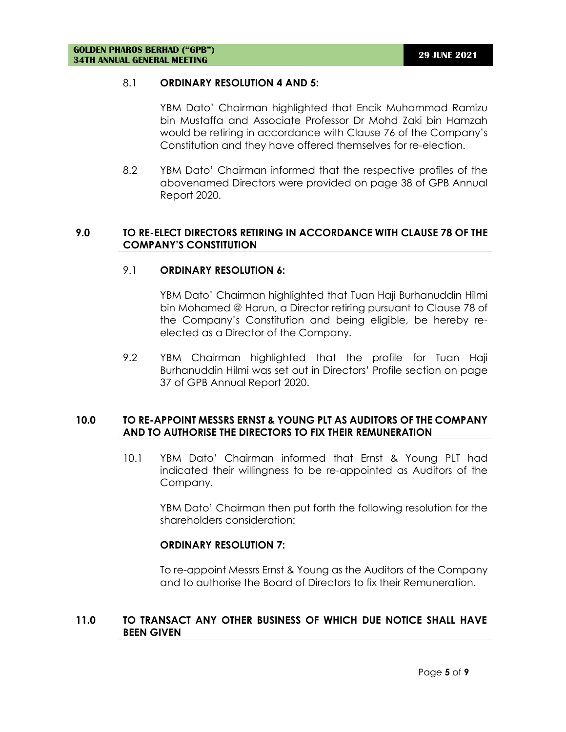#### 8.1 **ORDINARY RESOLUTION 4 AND 5:**

YBM Dato' Chairman highlighted that Encik Muhammad Ramizu bin Mustaffa and Associate Professor Dr Mohd Zaki bin Hamzah would be retiring in accordance with Clause 76 of the Company's Constitution and they have offered themselves for re-election.

8.2 YBM Dato' Chairman informed that the respective profiles of the abovenamed Directors were provided on page 38 of GPB Annual Report 2020.

#### **9.0 TO RE-ELECT DIRECTORS RETIRING IN ACCORDANCE WITH CLAUSE 78 OF THE COMPANY'S CONSTITUTION**

#### 9.1 **ORDINARY RESOLUTION 6:**

YBM Dato' Chairman highlighted that Tuan Haji Burhanuddin Hilmi bin Mohamed @ Harun, a Director retiring pursuant to Clause 78 of the Company's Constitution and being eligible, be hereby reelected as a Director of the Company.

9.2 YBM Chairman highlighted that the profile for Tuan Haji Burhanuddin Hilmi was set out in Directors' Profile section on page 37 of GPB Annual Report 2020.

#### **10.0 TO RE-APPOINT MESSRS ERNST & YOUNG PLT AS AUDITORS OF THE COMPANY AND TO AUTHORISE THE DIRECTORS TO FIX THEIR REMUNERATION**

10.1 YBM Dato' Chairman informed that Ernst & Young PLT had indicated their willingness to be re-appointed as Auditors of the Company.

YBM Dato' Chairman then put forth the following resolution for the shareholders consideration:

#### **ORDINARY RESOLUTION 7:**

To re-appoint Messrs Ernst & Young as the Auditors of the Company and to authorise the Board of Directors to fix their Remuneration.

#### **11.0 TO TRANSACT ANY OTHER BUSINESS OF WHICH DUE NOTICE SHALL HAVE BEEN GIVEN**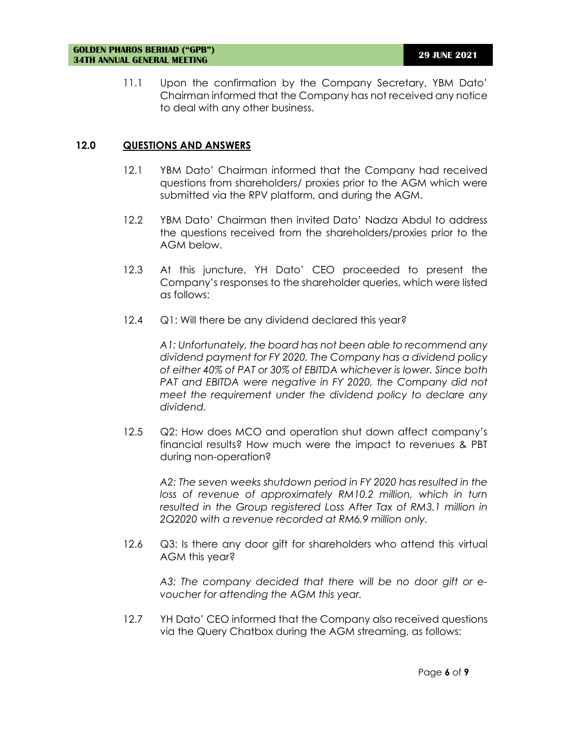11.1 Upon the confirmation by the Company Secretary, YBM Dato' Chairman informed that the Company has not received any notice to deal with any other business.

#### **12.0 QUESTIONS AND ANSWERS**

- 12.1 YBM Dato' Chairman informed that the Company had received questions from shareholders/ proxies prior to the AGM which were submitted via the RPV platform, and during the AGM.
- 12.2 YBM Dato' Chairman then invited Dato' Nadza Abdul to address the questions received from the shareholders/proxies prior to the AGM below.
- 12.3 At this juncture, YH Dato' CEO proceeded to present the Company's responses to the shareholder queries, which were listed as follows:
- 12.4 Q1: Will there be any dividend declared this year?

*A1: Unfortunately, the board has not been able to recommend any dividend payment for FY 2020. The Company has a dividend policy of either 40% of PAT or 30% of EBITDA whichever is lower. Since both PAT and EBITDA were negative in FY 2020, the Company did not meet the requirement under the dividend policy to declare any dividend.* 

12.5 Q2: How does MCO and operation shut down affect company's financial results? How much were the impact to revenues & PBT during non-operation?

*A2: The seven weeks shutdown period in FY 2020 has resulted in the*  loss of revenue of approximately RM10.2 million, which in turn resulted in the Group registered Loss After Tax of RM3.1 million in *2Q2020 with a revenue recorded at RM6.9 million only.*

12.6 Q3: Is there any door gift for shareholders who attend this virtual AGM this year?

*A3: The company decided that there will be no door gift or evoucher for attending the AGM this year.*

12.7 YH Dato' CEO informed that the Company also received questions via the Query Chatbox during the AGM streaming, as follows: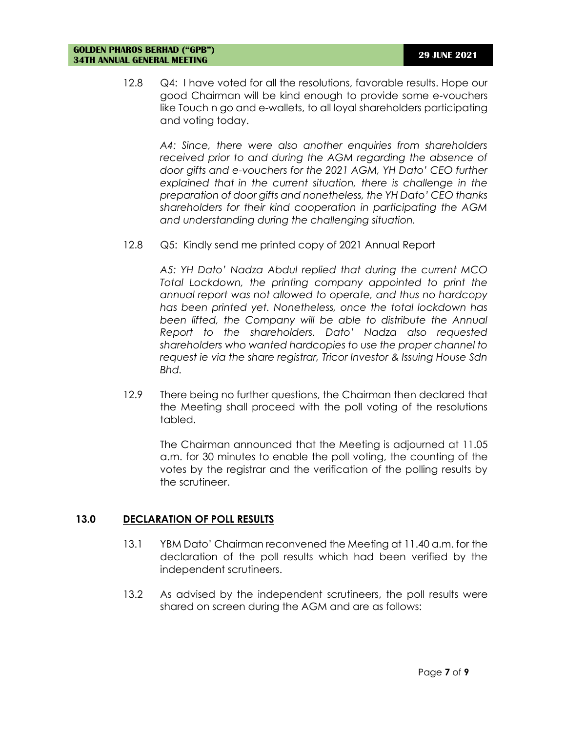12.8 Q4: I have voted for all the resolutions, favorable results. Hope our good Chairman will be kind enough to provide some e-vouchers like Touch n go and e-wallets, to all loyal shareholders participating and voting today.

*A4: Since, there were also another enquiries from shareholders received prior to and during the AGM regarding the absence of door gifts and e-vouchers for the 2021 AGM, YH Dato' CEO further explained that in the current situation, there is challenge in the preparation of door gifts and nonetheless, the YH Dato' CEO thanks shareholders for their kind cooperation in participating the AGM and understanding during the challenging situation.*

12.8 Q5: Kindly send me printed copy of 2021 Annual Report

*A5: YH Dato' Nadza Abdul replied that during the current MCO Total Lockdown, the printing company appointed to print the annual report was not allowed to operate, and thus no hardcopy has been printed yet. Nonetheless, once the total lockdown has been lifted, the Company will be able to distribute the Annual Report to the shareholders. Dato' Nadza also requested shareholders who wanted hardcopies to use the proper channel to request ie via the share registrar, Tricor Investor & Issuing House Sdn Bhd.*

12.9 There being no further questions, the Chairman then declared that the Meeting shall proceed with the poll voting of the resolutions tabled.

The Chairman announced that the Meeting is adjourned at 11.05 a.m. for 30 minutes to enable the poll voting, the counting of the votes by the registrar and the verification of the polling results by the scrutineer.

#### **13.0 DECLARATION OF POLL RESULTS**

- 13.1 YBM Dato' Chairman reconvened the Meeting at 11.40 a.m. for the declaration of the poll results which had been verified by the independent scrutineers.
- 13.2 As advised by the independent scrutineers, the poll results were shared on screen during the AGM and are as follows: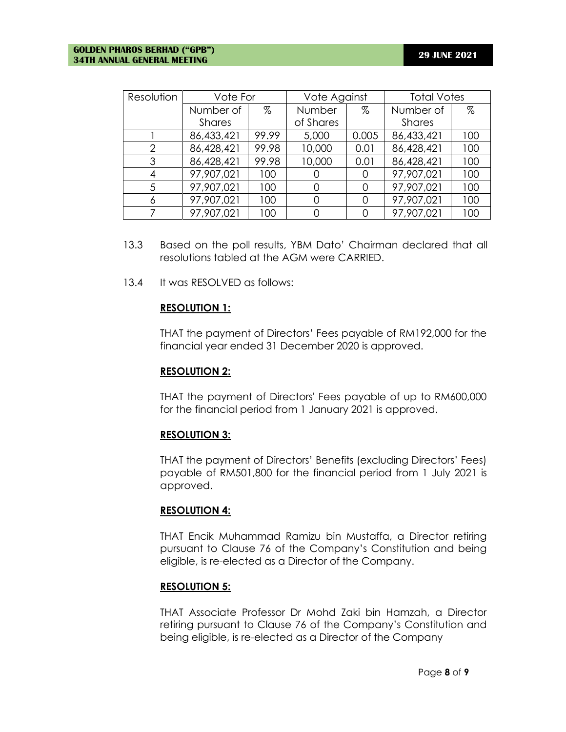| Resolution     | Vote For      |       | Vote Against |       | <b>Total Votes</b> |      |
|----------------|---------------|-------|--------------|-------|--------------------|------|
|                | Number of     | %     | Number       | %     | Number of          | $\%$ |
|                | <b>Shares</b> |       | of Shares    |       | <b>Shares</b>      |      |
|                | 86,433,421    | 99.99 | 5,000        | 0.005 | 86,433,421         | 100  |
| $\overline{2}$ | 86,428,421    | 99.98 | 10,000       | 0.01  | 86,428,421         | 100  |
| 3              | 86,428,421    | 99.98 | 10,000       | 0.01  | 86,428,421         | 100  |
| 4              | 97,907,021    | 100   |              |       | 97,907,021         | 100  |
| 5              | 97,907,021    | 100   | $\Omega$     |       | 97,907,021         | 100  |
| 6              | 97,907,021    | 100   | O            |       | 97,907,021         | 100  |
|                | 97,907,021    | 100   |              |       | 97,907,021         | 100  |

- 13.3 Based on the poll results, YBM Dato' Chairman declared that all resolutions tabled at the AGM were CARRIED.
- 13.4 It was RESOLVED as follows:

#### **RESOLUTION 1:**

THAT the payment of Directors' Fees payable of RM192,000 for the financial year ended 31 December 2020 is approved.

#### **RESOLUTION 2:**

THAT the payment of Directors' Fees payable of up to RM600,000 for the financial period from 1 January 2021 is approved.

#### **RESOLUTION 3:**

THAT the payment of Directors' Benefits (excluding Directors' Fees) payable of RM501,800 for the financial period from 1 July 2021 is approved.

#### **RESOLUTION 4:**

THAT Encik Muhammad Ramizu bin Mustaffa, a Director retiring pursuant to Clause 76 of the Company's Constitution and being eligible, is re-elected as a Director of the Company.

#### **RESOLUTION 5:**

THAT Associate Professor Dr Mohd Zaki bin Hamzah, a Director retiring pursuant to Clause 76 of the Company's Constitution and being eligible, is re-elected as a Director of the Company